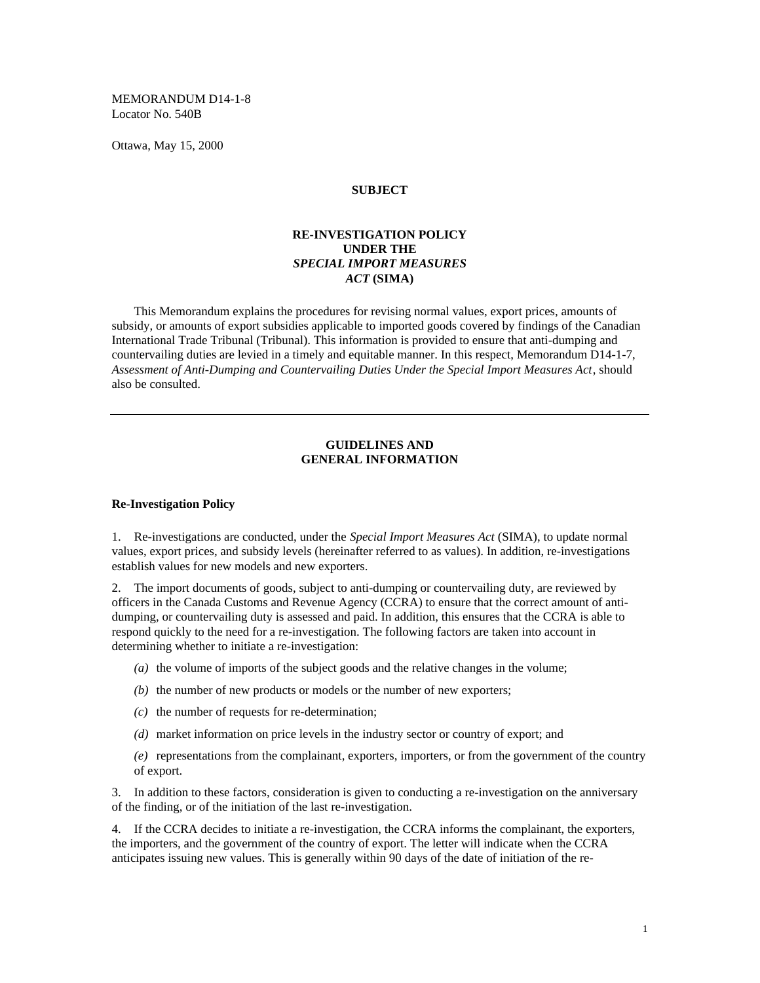MEMORANDUM D14-1-8 Locator No. 540B

Ottawa, May 15, 2000

### **SUBJECT**

## **RE-INVESTIGATION POLICY UNDER THE** *SPECIAL IMPORT MEASURES ACT* **(SIMA)**

This Memorandum explains the procedures for revising normal values, export prices, amounts of subsidy, or amounts of export subsidies applicable to imported goods covered by findings of the Canadian International Trade Tribunal (Tribunal). This information is provided to ensure that anti-dumping and countervailing duties are levied in a timely and equitable manner. In this respect, Memorandum D14-1-7, *Assessment of Anti-Dumping and Countervailing Duties Under the Special Import Measures Act*, should also be consulted.

#### **GUIDELINES AND GENERAL INFORMATION**

#### **Re-Investigation Policy**

1. Re-investigations are conducted, under the *Special Import Measures Act* (SIMA), to update normal values, export prices, and subsidy levels (hereinafter referred to as values). In addition, re-investigations establish values for new models and new exporters.

2. The import documents of goods, subject to anti-dumping or countervailing duty, are reviewed by officers in the Canada Customs and Revenue Agency (CCRA) to ensure that the correct amount of antidumping, or countervailing duty is assessed and paid. In addition, this ensures that the CCRA is able to respond quickly to the need for a re-investigation. The following factors are taken into account in determining whether to initiate a re-investigation:

- *(a)* the volume of imports of the subject goods and the relative changes in the volume;
- *(b)* the number of new products or models or the number of new exporters;
- *(c)* the number of requests for re-determination;
- *(d)* market information on price levels in the industry sector or country of export; and

*(e)* representations from the complainant, exporters, importers, or from the government of the country of export.

3. In addition to these factors, consideration is given to conducting a re-investigation on the anniversary of the finding, or of the initiation of the last re-investigation.

4. If the CCRA decides to initiate a re-investigation, the CCRA informs the complainant, the exporters, the importers, and the government of the country of export. The letter will indicate when the CCRA anticipates issuing new values. This is generally within 90 days of the date of initiation of the re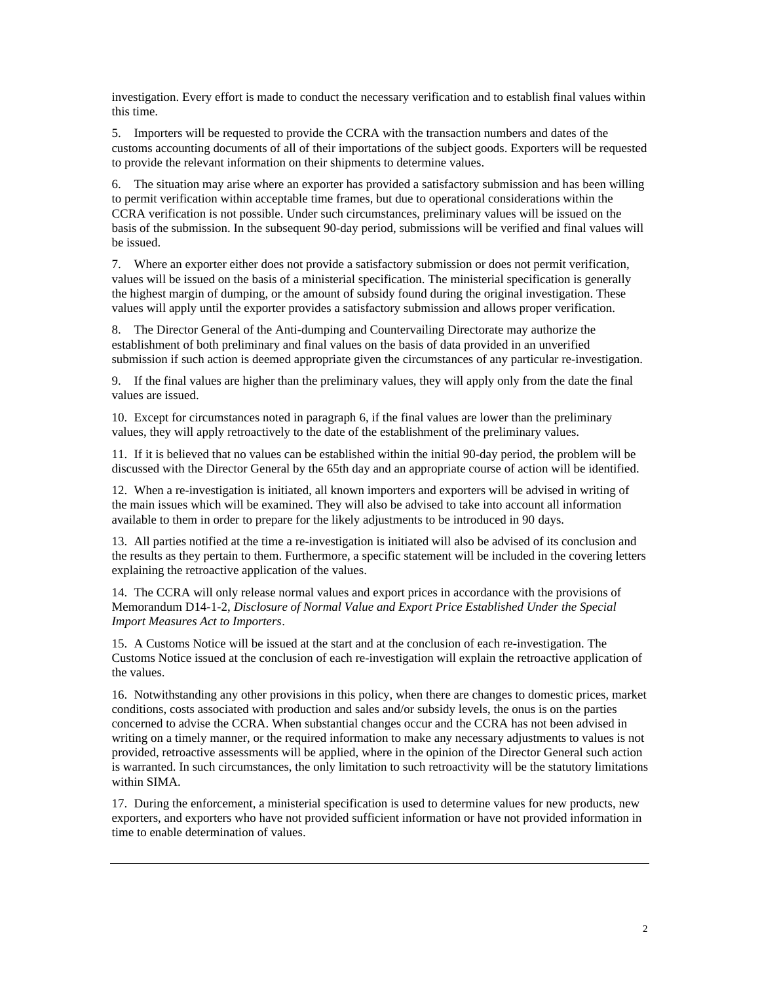investigation. Every effort is made to conduct the necessary verification and to establish final values within this time.

5. Importers will be requested to provide the CCRA with the transaction numbers and dates of the customs accounting documents of all of their importations of the subject goods. Exporters will be requested to provide the relevant information on their shipments to determine values.

6. The situation may arise where an exporter has provided a satisfactory submission and has been willing to permit verification within acceptable time frames, but due to operational considerations within the CCRA verification is not possible. Under such circumstances, preliminary values will be issued on the basis of the submission. In the subsequent 90-day period, submissions will be verified and final values will be issued.

7. Where an exporter either does not provide a satisfactory submission or does not permit verification, values will be issued on the basis of a ministerial specification. The ministerial specification is generally the highest margin of dumping, or the amount of subsidy found during the original investigation. These values will apply until the exporter provides a satisfactory submission and allows proper verification.

8. The Director General of the Anti-dumping and Countervailing Directorate may authorize the establishment of both preliminary and final values on the basis of data provided in an unverified submission if such action is deemed appropriate given the circumstances of any particular re-investigation.

9. If the final values are higher than the preliminary values, they will apply only from the date the final values are issued.

10. Except for circumstances noted in paragraph 6, if the final values are lower than the preliminary values, they will apply retroactively to the date of the establishment of the preliminary values.

11. If it is believed that no values can be established within the initial 90-day period, the problem will be discussed with the Director General by the 65th day and an appropriate course of action will be identified.

12. When a re-investigation is initiated, all known importers and exporters will be advised in writing of the main issues which will be examined. They will also be advised to take into account all information available to them in order to prepare for the likely adjustments to be introduced in 90 days.

13. All parties notified at the time a re-investigation is initiated will also be advised of its conclusion and the results as they pertain to them. Furthermore, a specific statement will be included in the covering letters explaining the retroactive application of the values.

14. The CCRA will only release normal values and export prices in accordance with the provisions of Memorandum D14-1-2, *Disclosure of Normal Value and Export Price Established Under the Special Import Measures Act to Importers*.

15. A Customs Notice will be issued at the start and at the conclusion of each re-investigation. The Customs Notice issued at the conclusion of each re-investigation will explain the retroactive application of the values.

16. Notwithstanding any other provisions in this policy, when there are changes to domestic prices, market conditions, costs associated with production and sales and/or subsidy levels, the onus is on the parties concerned to advise the CCRA. When substantial changes occur and the CCRA has not been advised in writing on a timely manner, or the required information to make any necessary adjustments to values is not provided, retroactive assessments will be applied, where in the opinion of the Director General such action is warranted. In such circumstances, the only limitation to such retroactivity will be the statutory limitations within SIMA.

17. During the enforcement, a ministerial specification is used to determine values for new products, new exporters, and exporters who have not provided sufficient information or have not provided information in time to enable determination of values.